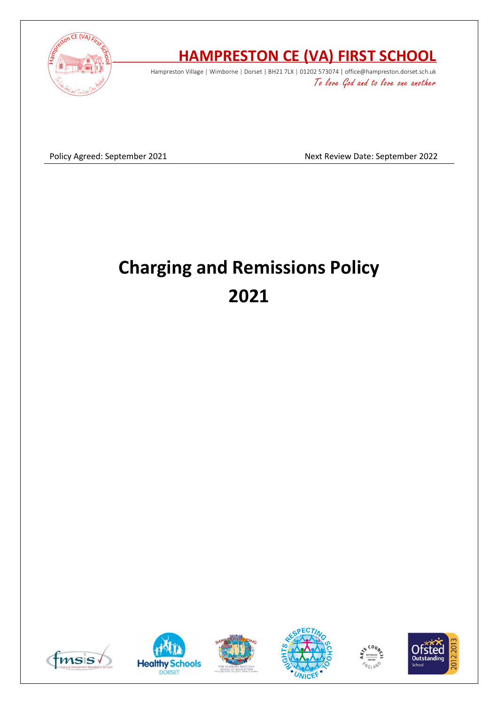

# **HAMPRESTON CE (VA) FIRST SCHOOL**

Hampreston Village | Wimborne | Dorset | BH21 7LX | 01202 573074 | office@hampreston.dorset.sch.uk To love God and to love one another

Policy Agreed: September 2021 and a september 2022

# **Charging and Remissions Policy 2021**











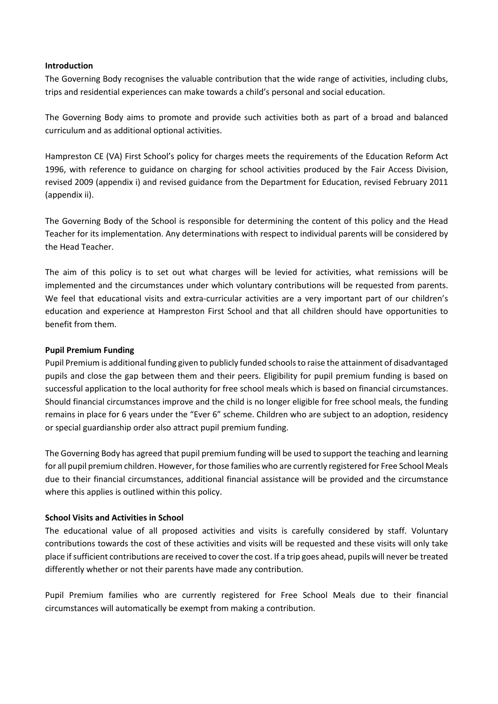#### **Introduction**

The Governing Body recognises the valuable contribution that the wide range of activities, including clubs, trips and residential experiences can make towards a child's personal and social education.

The Governing Body aims to promote and provide such activities both as part of a broad and balanced curriculum and as additional optional activities.

Hampreston CE (VA) First School's policy for charges meets the requirements of the Education Reform Act 1996, with reference to guidance on charging for school activities produced by the Fair Access Division, revised 2009 (appendix i) and revised guidance from the Department for Education, revised February 2011 (appendix ii).

The Governing Body of the School is responsible for determining the content of this policy and the Head Teacher for its implementation. Any determinations with respect to individual parents will be considered by the Head Teacher.

The aim of this policy is to set out what charges will be levied for activities, what remissions will be implemented and the circumstances under which voluntary contributions will be requested from parents. We feel that educational visits and extra-curricular activities are a very important part of our children's education and experience at Hampreston First School and that all children should have opportunities to benefit from them.

## **Pupil Premium Funding**

Pupil Premium is additional funding given to publicly funded schools to raise the attainment of disadvantaged pupils and close the gap between them and their peers. Eligibility for pupil premium funding is based on successful application to the local authority for free school meals which is based on financial circumstances. Should financial circumstances improve and the child is no longer eligible for free school meals, the funding remains in place for 6 years under the "Ever 6" scheme. Children who are subject to an adoption, residency or special guardianship order also attract pupil premium funding.

The Governing Body has agreed that pupil premium funding will be used to support the teaching and learning for all pupil premium children. However, for those families who are currently registered for Free School Meals due to their financial circumstances, additional financial assistance will be provided and the circumstance where this applies is outlined within this policy.

## **School Visits and Activities in School**

The educational value of all proposed activities and visits is carefully considered by staff. Voluntary contributions towards the cost of these activities and visits will be requested and these visits will only take place if sufficient contributions are received to cover the cost. If a trip goes ahead, pupils will never be treated differently whether or not their parents have made any contribution.

Pupil Premium families who are currently registered for Free School Meals due to their financial circumstances will automatically be exempt from making a contribution.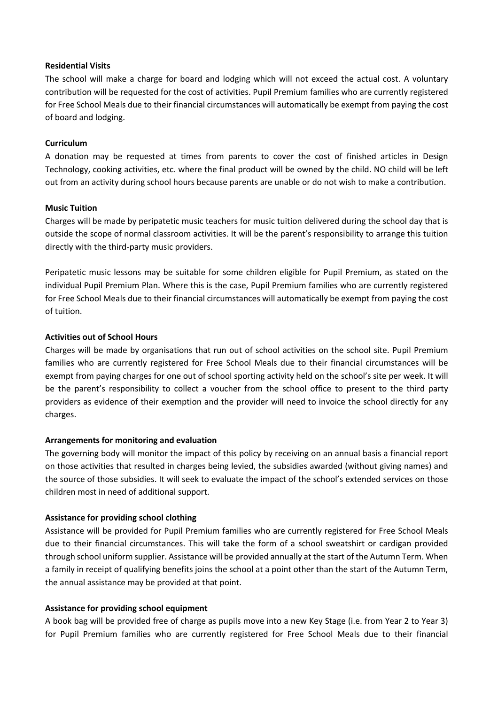#### **Residential Visits**

The school will make a charge for board and lodging which will not exceed the actual cost. A voluntary contribution will be requested for the cost of activities. Pupil Premium families who are currently registered for Free School Meals due to their financial circumstances will automatically be exempt from paying the cost of board and lodging.

#### **Curriculum**

A donation may be requested at times from parents to cover the cost of finished articles in Design Technology, cooking activities, etc. where the final product will be owned by the child. NO child will be left out from an activity during school hours because parents are unable or do not wish to make a contribution.

#### **Music Tuition**

Charges will be made by peripatetic music teachers for music tuition delivered during the school day that is outside the scope of normal classroom activities. It will be the parent's responsibility to arrange this tuition directly with the third-party music providers.

Peripatetic music lessons may be suitable for some children eligible for Pupil Premium, as stated on the individual Pupil Premium Plan. Where this is the case, Pupil Premium families who are currently registered for Free School Meals due to their financial circumstances will automatically be exempt from paying the cost of tuition.

#### **Activities out of School Hours**

Charges will be made by organisations that run out of school activities on the school site. Pupil Premium families who are currently registered for Free School Meals due to their financial circumstances will be exempt from paying charges for one out of school sporting activity held on the school's site per week. It will be the parent's responsibility to collect a voucher from the school office to present to the third party providers as evidence of their exemption and the provider will need to invoice the school directly for any charges.

#### **Arrangements for monitoring and evaluation**

The governing body will monitor the impact of this policy by receiving on an annual basis a financial report on those activities that resulted in charges being levied, the subsidies awarded (without giving names) and the source of those subsidies. It will seek to evaluate the impact of the school's extended services on those children most in need of additional support.

#### **Assistance for providing school clothing**

Assistance will be provided for Pupil Premium families who are currently registered for Free School Meals due to their financial circumstances. This will take the form of a school sweatshirt or cardigan provided through school uniform supplier. Assistance will be provided annually at the start of the Autumn Term. When a family in receipt of qualifying benefits joins the school at a point other than the start of the Autumn Term, the annual assistance may be provided at that point.

#### **Assistance for providing school equipment**

A book bag will be provided free of charge as pupils move into a new Key Stage (i.e. from Year 2 to Year 3) for Pupil Premium families who are currently registered for Free School Meals due to their financial